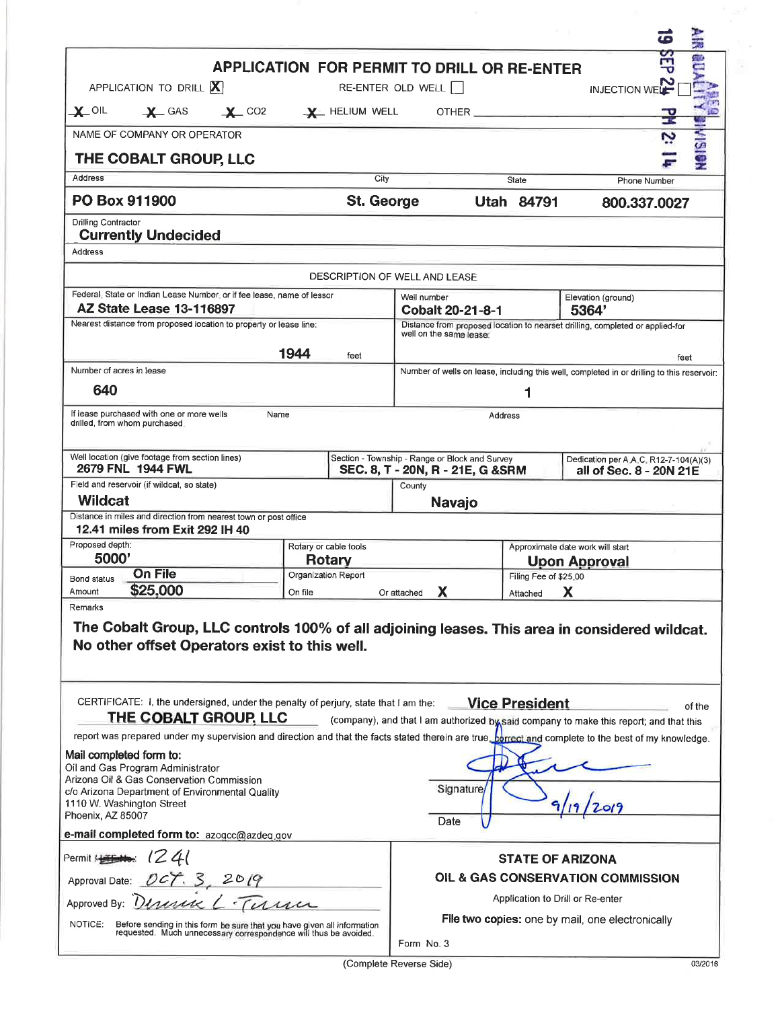|                                                                                                                                                              |      |                                                                         |                                                                                                                   |                       | 轰<br>Œ                                                                                                                                               |  |  |
|--------------------------------------------------------------------------------------------------------------------------------------------------------------|------|-------------------------------------------------------------------------|-------------------------------------------------------------------------------------------------------------------|-----------------------|------------------------------------------------------------------------------------------------------------------------------------------------------|--|--|
|                                                                                                                                                              |      | <b>APPLICATION FOR PERMIT TO DRILL OR RE-ENTER</b>                      |                                                                                                                   |                       |                                                                                                                                                      |  |  |
| APPLICATION TO DRILL X                                                                                                                                       |      |                                                                         | RE-ENTER OLD WELL                                                                                                 |                       | <b>INJECTION WELL</b>                                                                                                                                |  |  |
| $\mathbf{x}$ oil<br>$\mathbf{X}$ GAS                                                                                                                         |      | $\frac{1}{2}$ CO2 $\frac{1}{2}$ HELIUM WELL OTHER                       |                                                                                                                   |                       | ÷                                                                                                                                                    |  |  |
| NAME OF COMPANY OR OPERATOR                                                                                                                                  |      |                                                                         |                                                                                                                   |                       |                                                                                                                                                      |  |  |
| THE COBALT GROUP, LLC                                                                                                                                        |      |                                                                         |                                                                                                                   |                       | <b>Heisimi</b>                                                                                                                                       |  |  |
| Address                                                                                                                                                      |      | City                                                                    |                                                                                                                   | State                 | Phone Number                                                                                                                                         |  |  |
| <b>St. George</b><br><b>PO Box 911900</b>                                                                                                                    |      |                                                                         |                                                                                                                   | <b>Utah 84791</b>     | 800.337.0027                                                                                                                                         |  |  |
| Drilling Contractor<br><b>Currently Undecided</b><br>Address                                                                                                 |      |                                                                         |                                                                                                                   |                       |                                                                                                                                                      |  |  |
|                                                                                                                                                              |      |                                                                         | DESCRIPTION OF WELL AND LEASE                                                                                     |                       |                                                                                                                                                      |  |  |
| Federal: State or Indian Lease Number, or if fee lease, name of lessor                                                                                       |      |                                                                         | Well number                                                                                                       |                       | Elevation (ground)                                                                                                                                   |  |  |
| <b>AZ State Lease 13-116897</b><br>Nearest distance from proposed location to properly or lease line:                                                        |      |                                                                         | <b>Cobalt 20-21-8-1</b><br>5364'<br>Distance from proposed location to nearset drilling, completed or applied-for |                       |                                                                                                                                                      |  |  |
|                                                                                                                                                              |      |                                                                         | well on the same lease:                                                                                           |                       |                                                                                                                                                      |  |  |
|                                                                                                                                                              |      | 1944<br>feet                                                            |                                                                                                                   |                       | feet                                                                                                                                                 |  |  |
| Number of acres in lease                                                                                                                                     |      |                                                                         | Number of wells on lease, including this well, completed in or drilling to this reservoir:                        |                       |                                                                                                                                                      |  |  |
| 640                                                                                                                                                          |      |                                                                         |                                                                                                                   | 1                     |                                                                                                                                                      |  |  |
| If lease purchased with one or more wells<br>drilled, from whom purchased.                                                                                   | Name |                                                                         |                                                                                                                   | Address               |                                                                                                                                                      |  |  |
| Well location (give footage from section lines)<br>2679 FNL 1944 FWL                                                                                         |      |                                                                         | Section - Township - Range or Block and Survey<br>SEC. 8, T - 20N, R - 21E, G & SRM                               |                       | Dedication per A.A.C. R12-7-104(A)(3)<br>all of Sec. 8 - 20N 21E                                                                                     |  |  |
| Field and reservoir (if wildcat, so state)<br>Wildcat                                                                                                        |      |                                                                         | County                                                                                                            |                       |                                                                                                                                                      |  |  |
| Distance in miles and direction from nearest town or post office                                                                                             |      |                                                                         | <b>Navajo</b>                                                                                                     |                       |                                                                                                                                                      |  |  |
| 12.41 miles from Exit 292 IH 40<br>Proposed depth:                                                                                                           |      |                                                                         |                                                                                                                   |                       |                                                                                                                                                      |  |  |
| 5000'                                                                                                                                                        |      | Rotary or cable tools<br>Rotary                                         |                                                                                                                   |                       | Approximate date work will start<br><b>Upon Approval</b>                                                                                             |  |  |
| <b>On File</b><br><b>Bond status</b>                                                                                                                         |      | Organization Report                                                     |                                                                                                                   | Filing Fee of \$25.00 |                                                                                                                                                      |  |  |
| \$25,000<br>Amount<br>Remarks                                                                                                                                |      | On file                                                                 | Or attached<br>х                                                                                                  | Attached              | x                                                                                                                                                    |  |  |
| No other offset Operators exist to this well.<br>CERTIFICATE: I, the undersigned, under the penalty of perjury, state that I am the: Vice President          |      |                                                                         |                                                                                                                   |                       | The Cobalt Group, LLC controls 100% of all adjoining leases. This area in considered wildcat.<br>of the                                              |  |  |
| THE COBALT GROUP, LLC                                                                                                                                        |      |                                                                         |                                                                                                                   |                       | (company), and that I am authorized by said company to make this report; and that this                                                               |  |  |
|                                                                                                                                                              |      |                                                                         |                                                                                                                   |                       | report was prepared under my supervision and direction and that the facts stated therein are true. Lorrect and complete to the best of my knowledge. |  |  |
| Mail completed form to:<br>Oil and Gas Program Administrator<br>Arizona Oil & Gas Conservation Commission<br>c/o Arizona Department of Environmental Quality |      |                                                                         | Signature                                                                                                         |                       |                                                                                                                                                      |  |  |
| 1110 W. Washington Street<br>Phoenix, AZ 85007                                                                                                               |      |                                                                         | Date                                                                                                              |                       |                                                                                                                                                      |  |  |
| e-mail completed form to: azogcc@azdeq.gov                                                                                                                   |      |                                                                         |                                                                                                                   |                       |                                                                                                                                                      |  |  |
| 1241<br>Permit Automobile                                                                                                                                    |      |                                                                         |                                                                                                                   |                       | <b>STATE OF ARIZONA</b>                                                                                                                              |  |  |
| Approval Date: <i>DCT</i> . S                                                                                                                                |      |                                                                         | OIL & GAS CONSERVATION COMMISSION                                                                                 |                       |                                                                                                                                                      |  |  |
| Approved By: Director L. Tirre                                                                                                                               |      | Application to Drill or Re-enter                                        |                                                                                                                   |                       |                                                                                                                                                      |  |  |
| NOTICE:                                                                                                                                                      |      | Before sending in this form be sure that you have given all information | <b>File two copies:</b> one by mail, one electronically                                                           |                       |                                                                                                                                                      |  |  |
|                                                                                                                                                              |      | requested. Much unnecessary correspondence will thus be avoided.        | Form No. 3                                                                                                        |                       |                                                                                                                                                      |  |  |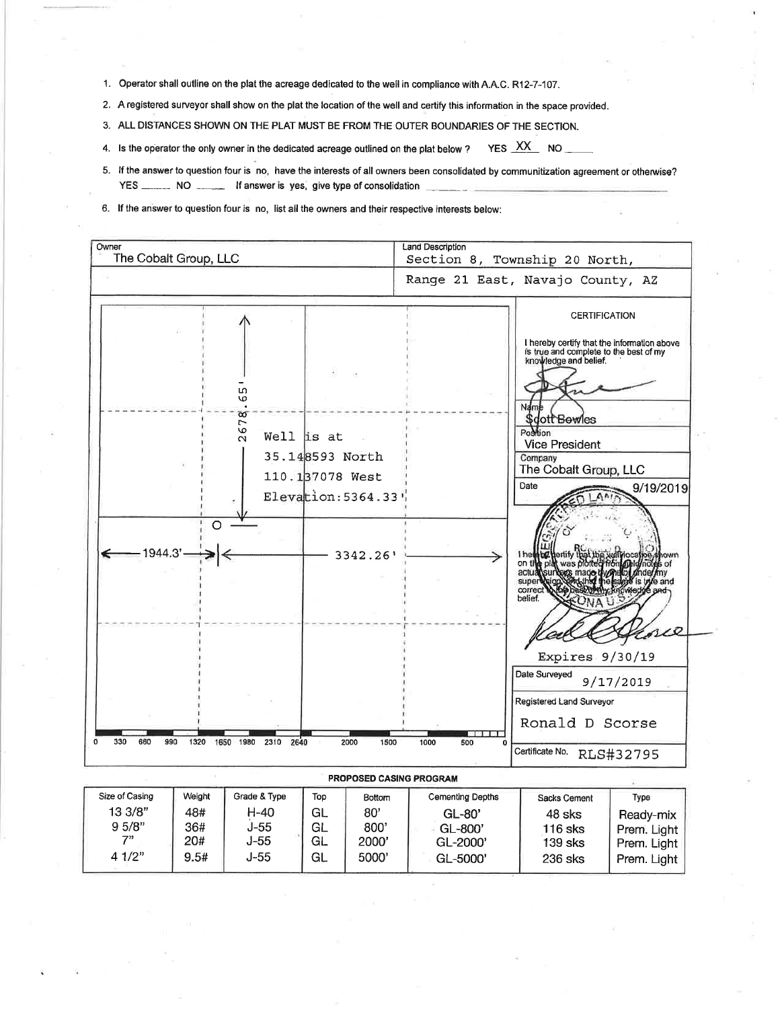1. Operator shall outline on the plat the acreage dedicated to the well in compliance with A.A.C. R12-7-107.

- 2. A registered surveyor shall show on the plat the location of the well and certify this information in the space provided.
- 3. ALL DISTANCES SHOWN ON THE PLAT MUST BE FROM THE OUTER BOUNDARIES OF THE SECTION.
- YES XX NO 4. Is the operator the only owner in the dedicated acreage outlined on the plat below ?
- 5. If the answer to question four is no, have the interests of all owners been consolidated by communitization agreement or otherwise? YES \_\_\_\_\_\_\_ NO \_\_\_\_\_\_ If answer is yes, give type of consolidation
- 6. If the answer to question four is no, list all the owners and their respective interests below:



| PRUPUSED CASING PRUGRAM |        |              |     |        |                         |              |             |  |  |  |  |
|-------------------------|--------|--------------|-----|--------|-------------------------|--------------|-------------|--|--|--|--|
| Size of Casing          | Weight | Grade & Type | Top | Bottom | <b>Cementing Depths</b> | Sacks Cement | Type        |  |  |  |  |
| 13 3/8"                 | 48#    | H-40         | GL  | 80'    | $GL-80'$                | 48 sks       | Ready-mix   |  |  |  |  |
| 9.5/8"                  | 36#    | J-55         | GL  | 800'   | GL-800'                 | 116 sks      | Prem. Light |  |  |  |  |
| -711                    | 20#    | J-55         | GL  | 2000'  | GL-2000'                | 139 sks      | Prem. Light |  |  |  |  |
| 41/2"                   | 9.5#   | J-55         | GL  | 5000'  | GL-5000'                | 236 sks      | Prem. Light |  |  |  |  |